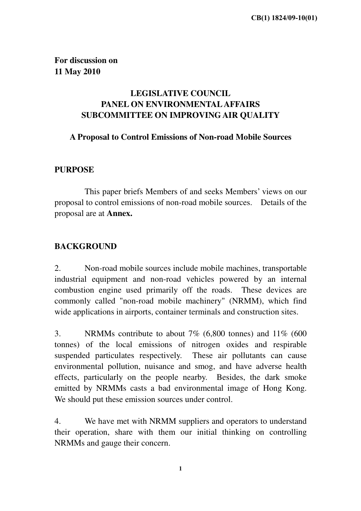**For discussion on 11 May 2010** 

# **LEGISLATIVE COUNCIL PANEL ON ENVIRONMENTAL AFFAIRS SUBCOMMITTEE ON IMPROVING AIR QUALITY**

## **A Proposal to Control Emissions of Non-road Mobile Sources**

## **PURPOSE**

 This paper briefs Members of and seeks Members' views on our proposal to control emissions of non-road mobile sources. Details of the proposal are at **Annex.**

## **BACKGROUND**

2. Non-road mobile sources include mobile machines, transportable industrial equipment and non-road vehicles powered by an internal combustion engine used primarily off the roads. These devices are commonly called "non-road mobile machinery" (NRMM), which find wide applications in airports, container terminals and construction sites.

3. NRMMs contribute to about 7% (6,800 tonnes) and 11% (600 tonnes) of the local emissions of nitrogen oxides and respirable suspended particulates respectively. These air pollutants can cause environmental pollution, nuisance and smog, and have adverse health effects, particularly on the people nearby. Besides, the dark smoke emitted by NRMMs casts a bad environmental image of Hong Kong. We should put these emission sources under control.

4. We have met with NRMM suppliers and operators to understand their operation, share with them our initial thinking on controlling NRMMs and gauge their concern.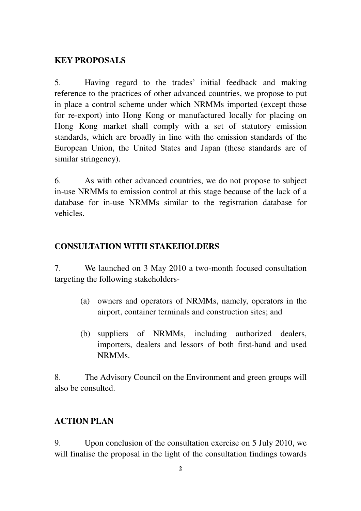## **KEY PROPOSALS**

5. Having regard to the trades' initial feedback and making reference to the practices of other advanced countries, we propose to put in place a control scheme under which NRMMs imported (except those for re-export) into Hong Kong or manufactured locally for placing on Hong Kong market shall comply with a set of statutory emission standards, which are broadly in line with the emission standards of the European Union, the United States and Japan (these standards are of similar stringency).

6. As with other advanced countries, we do not propose to subject in-use NRMMs to emission control at this stage because of the lack of a database for in-use NRMMs similar to the registration database for vehicles.

# **CONSULTATION WITH STAKEHOLDERS**

7. We launched on 3 May 2010 a two-month focused consultation targeting the following stakeholders-

- (a) owners and operators of NRMMs, namely, operators in the airport, container terminals and construction sites; and
- (b) suppliers of NRMMs, including authorized dealers, importers, dealers and lessors of both first-hand and used NRMMs.

8. The Advisory Council on the Environment and green groups will also be consulted.

# **ACTION PLAN**

9. Upon conclusion of the consultation exercise on 5 July 2010, we will finalise the proposal in the light of the consultation findings towards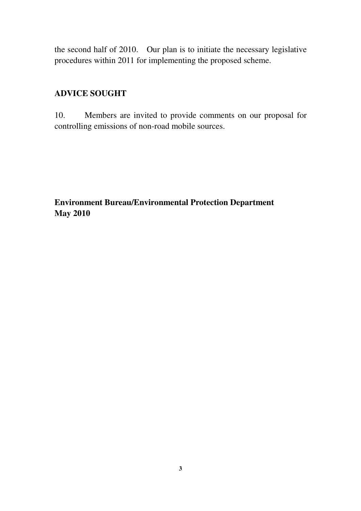the second half of 2010. Our plan is to initiate the necessary legislative procedures within 2011 for implementing the proposed scheme.

# **ADVICE SOUGHT**

10. Members are invited to provide comments on our proposal for controlling emissions of non-road mobile sources.

**Environment Bureau/Environmental Protection Department May 2010**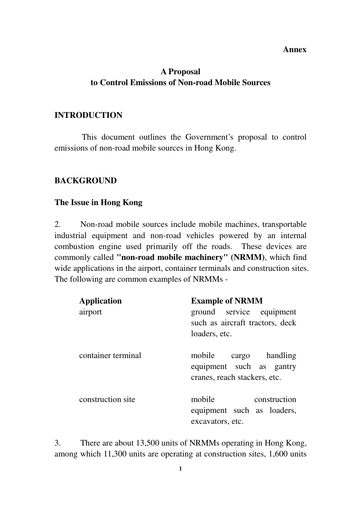#### **Annex**

## **A Proposal to Control Emissions of Non-road Mobile Sources**

#### **INTRODUCTION**

This document outlines the Government's proposal to control emissions of non-road mobile sources in Hong Kong.

### **BACKGROUND**

#### **The Issue in Hong Kong**

2. Non-road mobile sources include mobile machines, transportable industrial equipment and non-road vehicles powered by an internal combustion engine used primarily off the roads. These devices are commonly called **"non-road mobile machinery" (NRMM)**, which find wide applications in the airport, container terminals and construction sites. The following are common examples of NRMMs -

| <b>Application</b> | <b>Example of NRMM</b>                                                            |  |
|--------------------|-----------------------------------------------------------------------------------|--|
| airport            | ground service equipment                                                          |  |
|                    | such as aircraft tractors, deck                                                   |  |
|                    | loaders, etc.                                                                     |  |
| container terminal | mobile cargo handling<br>equipment such as gantry<br>cranes, reach stackers, etc. |  |
| construction site  | mobile<br>construction<br>equipment such as loaders,<br>excavators, etc.          |  |

3. There are about 13,500 units of NRMMs operating in Hong Kong, among which 11,300 units are operating at construction sites, 1,600 units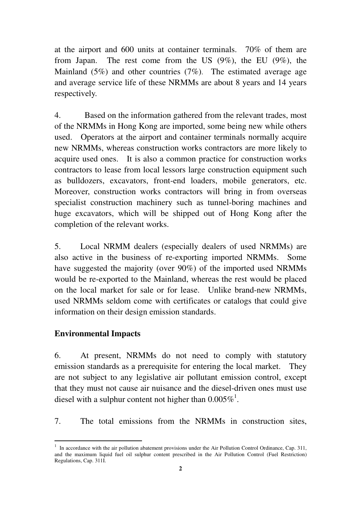at the airport and 600 units at container terminals. 70% of them are from Japan. The rest come from the US (9%), the EU (9%), the Mainland (5%) and other countries (7%). The estimated average age and average service life of these NRMMs are about 8 years and 14 years respectively.

4. Based on the information gathered from the relevant trades, most of the NRMMs in Hong Kong are imported, some being new while others used. Operators at the airport and container terminals normally acquire new NRMMs, whereas construction works contractors are more likely to acquire used ones. It is also a common practice for construction works contractors to lease from local lessors large construction equipment such as bulldozers, excavators, front-end loaders, mobile generators, etc. Moreover, construction works contractors will bring in from overseas specialist construction machinery such as tunnel-boring machines and huge excavators, which will be shipped out of Hong Kong after the completion of the relevant works.

5. Local NRMM dealers (especially dealers of used NRMMs) are also active in the business of re-exporting imported NRMMs. Some have suggested the majority (over 90%) of the imported used NRMMs would be re-exported to the Mainland, whereas the rest would be placed on the local market for sale or for lease. Unlike brand-new NRMMs, used NRMMs seldom come with certificates or catalogs that could give information on their design emission standards.

#### **Environmental Impacts**

ׇ֬֒

6. At present, NRMMs do not need to comply with statutory emission standards as a prerequisite for entering the local market. They are not subject to any legislative air pollutant emission control, except that they must not cause air nuisance and the diesel-driven ones must use diesel with a sulphur content not higher than  $0.005\%$ <sup>1</sup>.

7. The total emissions from the NRMMs in construction sites,

<sup>&</sup>lt;sup>1</sup> In accordance with the air pollution abatement provisions under the Air Pollution Control Ordinance, Cap. 311, and the maximum liquid fuel oil sulphur content prescribed in the Air Pollution Control (Fuel Restriction) Regulations, Cap. 311I.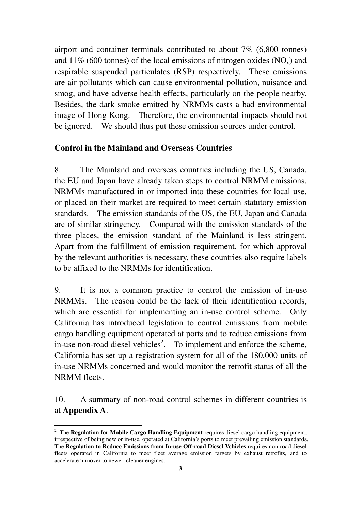airport and container terminals contributed to about 7% (6,800 tonnes) and 11% (600 tonnes) of the local emissions of nitrogen oxides  $(NO_x)$  and respirable suspended particulates (RSP) respectively. These emissions are air pollutants which can cause environmental pollution, nuisance and smog, and have adverse health effects, particularly on the people nearby. Besides, the dark smoke emitted by NRMMs casts a bad environmental image of Hong Kong. Therefore, the environmental impacts should not be ignored. We should thus put these emission sources under control.

## **Control in the Mainland and Overseas Countries**

8. The Mainland and overseas countries including the US, Canada, the EU and Japan have already taken steps to control NRMM emissions. NRMMs manufactured in or imported into these countries for local use, or placed on their market are required to meet certain statutory emission standards. The emission standards of the US, the EU, Japan and Canada are of similar stringency. Compared with the emission standards of the three places, the emission standard of the Mainland is less stringent. Apart from the fulfillment of emission requirement, for which approval by the relevant authorities is necessary, these countries also require labels to be affixed to the NRMMs for identification.

9. It is not a common practice to control the emission of in-use NRMMs. The reason could be the lack of their identification records, which are essential for implementing an in-use control scheme. Only California has introduced legislation to control emissions from mobile cargo handling equipment operated at ports and to reduce emissions from in-use non-road diesel vehicles<sup>2</sup>. To implement and enforce the scheme, California has set up a registration system for all of the 180,000 units of in-use NRMMs concerned and would monitor the retrofit status of all the NRMM fleets.

10. A summary of non-road control schemes in different countries is at **Appendix A**.

ׇ֬֒

<sup>&</sup>lt;sup>2</sup> The Regulation for Mobile Cargo Handling Equipment requires diesel cargo handling equipment, irrespective of being new or in-use, operated at California's ports to meet prevailing emission standards. The **Regulation to Reduce Emissions from In-use Off-road Diesel Vehicles** requires non-road diesel fleets operated in California to meet fleet average emission targets by exhaust retrofits, and to accelerate turnover to newer, cleaner engines.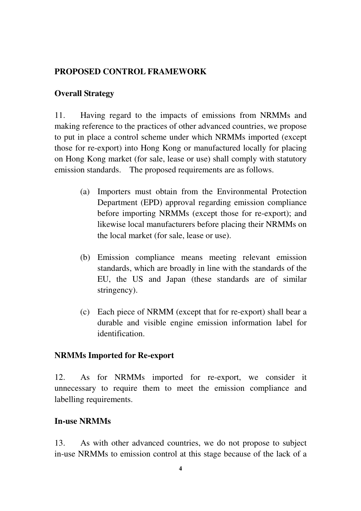## **PROPOSED CONTROL FRAMEWORK**

## **Overall Strategy**

11. Having regard to the impacts of emissions from NRMMs and making reference to the practices of other advanced countries, we propose to put in place a control scheme under which NRMMs imported (except those for re-export) into Hong Kong or manufactured locally for placing on Hong Kong market (for sale, lease or use) shall comply with statutory emission standards. The proposed requirements are as follows.

- (a) Importers must obtain from the Environmental Protection Department (EPD) approval regarding emission compliance before importing NRMMs (except those for re-export); and likewise local manufacturers before placing their NRMMs on the local market (for sale, lease or use).
- (b) Emission compliance means meeting relevant emission standards, which are broadly in line with the standards of the EU, the US and Japan (these standards are of similar stringency).
- (c) Each piece of NRMM (except that for re-export) shall bear a durable and visible engine emission information label for identification.

#### **NRMMs Imported for Re-export**

12. As for NRMMs imported for re-export, we consider it unnecessary to require them to meet the emission compliance and labelling requirements.

#### **In-use NRMMs**

13. As with other advanced countries, we do not propose to subject in-use NRMMs to emission control at this stage because of the lack of a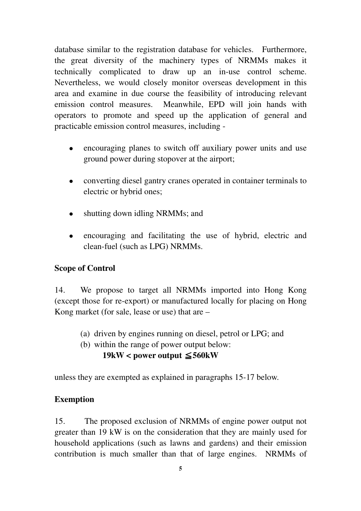database similar to the registration database for vehicles. Furthermore, the great diversity of the machinery types of NRMMs makes it technically complicated to draw up an in-use control scheme. Nevertheless, we would closely monitor overseas development in this area and examine in due course the feasibility of introducing relevant emission control measures. Meanwhile, EPD will join hands with operators to promote and speed up the application of general and practicable emission control measures, including -

- encouraging planes to switch off auxiliary power units and use ground power during stopover at the airport;
- converting diesel gantry cranes operated in container terminals to electric or hybrid ones;
- shutting down idling NRMMs; and
- encouraging and facilitating the use of hybrid, electric and clean-fuel (such as LPG) NRMMs.

## **Scope of Control**

14. We propose to target all NRMMs imported into Hong Kong (except those for re-export) or manufactured locally for placing on Hong Kong market (for sale, lease or use) that are –

- (a) driven by engines running on diesel, petrol or LPG; and
- (b) within the range of power output below:

## $19kW <$  power output  $\leq 560kW$

unless they are exempted as explained in paragraphs 15-17 below.

## **Exemption**

15. The proposed exclusion of NRMMs of engine power output not greater than 19 kW is on the consideration that they are mainly used for household applications (such as lawns and gardens) and their emission contribution is much smaller than that of large engines. NRMMs of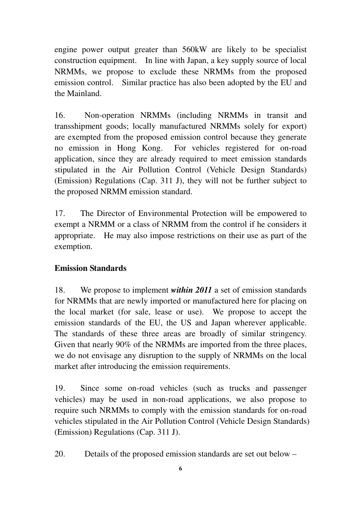engine power output greater than 560kW are likely to be specialist construction equipment. In line with Japan, a key supply source of local NRMMs, we propose to exclude these NRMMs from the proposed emission control. Similar practice has also been adopted by the EU and the Mainland.

16. Non-operation NRMMs (including NRMMs in transit and transshipment goods; locally manufactured NRMMs solely for export) are exempted from the proposed emission control because they generate no emission in Hong Kong. For vehicles registered for on-road application, since they are already required to meet emission standards stipulated in the Air Pollution Control (Vehicle Design Standards) (Emission) Regulations (Cap. 311 J), they will not be further subject to the proposed NRMM emission standard.

17. The Director of Environmental Protection will be empowered to exempt a NRMM or a class of NRMM from the control if he considers it appropriate. He may also impose restrictions on their use as part of the exemption.

# **Emission Standards**

18. We propose to implement *within 2011* a set of emission standards for NRMMs that are newly imported or manufactured here for placing on the local market (for sale, lease or use). We propose to accept the emission standards of the EU, the US and Japan wherever applicable. The standards of these three areas are broadly of similar stringency. Given that nearly 90% of the NRMMs are imported from the three places, we do not envisage any disruption to the supply of NRMMs on the local market after introducing the emission requirements.

19. Since some on-road vehicles (such as trucks and passenger vehicles) may be used in non-road applications, we also propose to require such NRMMs to comply with the emission standards for on-road vehicles stipulated in the Air Pollution Control (Vehicle Design Standards) (Emission) Regulations (Cap. 311 J).

20. Details of the proposed emission standards are set out below –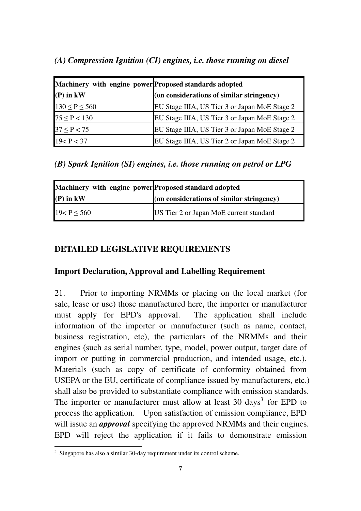## *(A) Compression Ignition (CI) engines, i.e. those running on diesel*

| Machinery with engine power Proposed standards adopted |                                               |
|--------------------------------------------------------|-----------------------------------------------|
| $(P)$ in $kW$                                          | (on considerations of similar stringency)     |
| $130 \le P \le 560$                                    | EU Stage IIIA, US Tier 3 or Japan MoE Stage 2 |
| $75 \le P < 130$                                       | EU Stage IIIA, US Tier 3 or Japan MoE Stage 2 |
| $37 \le P < 75$                                        | EU Stage IIIA, US Tier 3 or Japan MoE Stage 2 |
| 19 < P < 37                                            | EU Stage IIIA, US Tier 2 or Japan MoE Stage 2 |

*(B) Spark Ignition (SI) engines, i.e. those running on petrol or LPG* 

| Machinery with engine power Proposed standard adopted |                                           |
|-------------------------------------------------------|-------------------------------------------|
| $(P)$ in $kW$                                         | (on considerations of similar stringency) |
| 19 < P < 560                                          | US Tier 2 or Japan MoE current standard   |

# **DETAILED LEGISLATIVE REQUIREMENTS**

## **Import Declaration, Approval and Labelling Requirement**

21. Prior to importing NRMMs or placing on the local market (for sale, lease or use) those manufactured here, the importer or manufacturer must apply for EPD's approval. The application shall include information of the importer or manufacturer (such as name, contact, business registration, etc), the particulars of the NRMMs and their engines (such as serial number, type, model, power output, target date of import or putting in commercial production, and intended usage, etc.). Materials (such as copy of certificate of conformity obtained from USEPA or the EU, certificate of compliance issued by manufacturers, etc.) shall also be provided to substantiate compliance with emission standards. The importer or manufacturer must allow at least 30 days<sup>3</sup> for EPD to process the application. Upon satisfaction of emission compliance, EPD will issue an *approval* specifying the approved NRMMs and their engines. EPD will reject the application if it fails to demonstrate emission ׇ֬֒

 $3$  Singapore has also a similar 30-day requirement under its control scheme.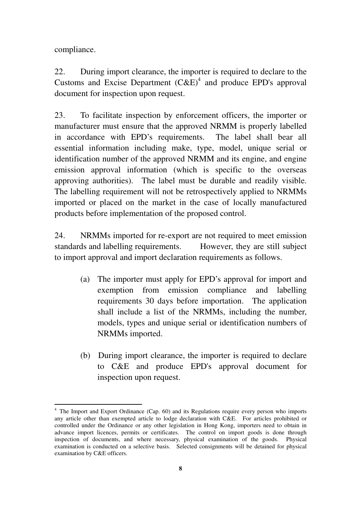compliance.

ׇ֬֒

22. During import clearance, the importer is required to declare to the Customs and Excise Department  $(CAE)^4$  and produce EPD's approval document for inspection upon request.

23. To facilitate inspection by enforcement officers, the importer or manufacturer must ensure that the approved NRMM is properly labelled in accordance with EPD's requirements. The label shall bear all essential information including make, type, model, unique serial or identification number of the approved NRMM and its engine, and engine emission approval information (which is specific to the overseas approving authorities). The label must be durable and readily visible. The labelling requirement will not be retrospectively applied to NRMMs imported or placed on the market in the case of locally manufactured products before implementation of the proposed control.

24. NRMMs imported for re-export are not required to meet emission standards and labelling requirements. However, they are still subject to import approval and import declaration requirements as follows.

- (a) The importer must apply for EPD's approval for import and exemption from emission compliance and labelling requirements 30 days before importation. The application shall include a list of the NRMMs, including the number, models, types and unique serial or identification numbers of NRMMs imported.
- (b) During import clearance, the importer is required to declare to C&E and produce EPD's approval document for inspection upon request.

<sup>&</sup>lt;sup>4</sup> The Import and Export Ordinance (Cap. 60) and its Regulations require every person who imports any article other than exempted article to lodge declaration with C&E. For articles prohibited or controlled under the Ordinance or any other legislation in Hong Kong, importers need to obtain in advance import licences, permits or certificates. The control on import goods is done through inspection of documents, and where necessary, physical examination of the goods. Physical examination is conducted on a selective basis. Selected consignments will be detained for physical examination by C&E officers.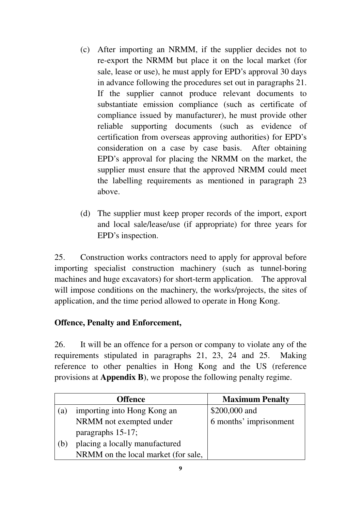- (c) After importing an NRMM, if the supplier decides not to re-export the NRMM but place it on the local market (for sale, lease or use), he must apply for EPD's approval 30 days in advance following the procedures set out in paragraphs 21. If the supplier cannot produce relevant documents to substantiate emission compliance (such as certificate of compliance issued by manufacturer), he must provide other reliable supporting documents (such as evidence of certification from overseas approving authorities) for EPD's consideration on a case by case basis. After obtaining EPD's approval for placing the NRMM on the market, the supplier must ensure that the approved NRMM could meet the labelling requirements as mentioned in paragraph 23 above.
- (d) The supplier must keep proper records of the import, export and local sale/lease/use (if appropriate) for three years for EPD's inspection.

25. Construction works contractors need to apply for approval before importing specialist construction machinery (such as tunnel-boring machines and huge excavators) for short-term application. The approval will impose conditions on the machinery, the works/projects, the sites of application, and the time period allowed to operate in Hong Kong.

# **Offence, Penalty and Enforcement,**

26. It will be an offence for a person or company to violate any of the requirements stipulated in paragraphs 21, 23, 24 and 25. Making reference to other penalties in Hong Kong and the US (reference provisions at **Appendix B**), we propose the following penalty regime.

|     | <b>Offence</b>                      | <b>Maximum Penalty</b> |
|-----|-------------------------------------|------------------------|
| (a) | importing into Hong Kong an         | \$200,000 and          |
|     | NRMM not exempted under             | 6 months' imprisonment |
|     | paragraphs 15-17;                   |                        |
| (b, | placing a locally manufactured      |                        |
|     | NRMM on the local market (for sale, |                        |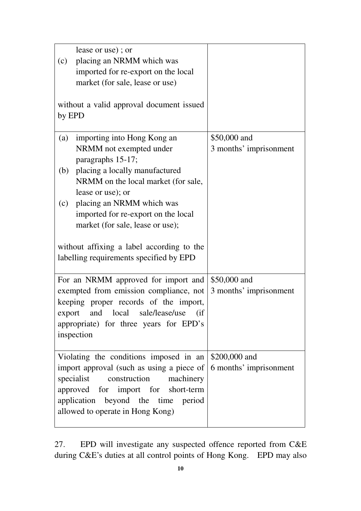|                                                      | lease or use); or                            |                        |
|------------------------------------------------------|----------------------------------------------|------------------------|
| (c)                                                  | placing an NRMM which was                    |                        |
|                                                      | imported for re-export on the local          |                        |
|                                                      | market (for sale, lease or use)              |                        |
|                                                      |                                              |                        |
|                                                      | without a valid approval document issued     |                        |
| by EPD                                               |                                              |                        |
|                                                      |                                              |                        |
| (a)                                                  | importing into Hong Kong an                  | \$50,000 and           |
|                                                      | NRMM not exempted under<br>paragraphs 15-17; | 3 months' imprisonment |
| (b)                                                  | placing a locally manufactured               |                        |
|                                                      | NRMM on the local market (for sale,          |                        |
|                                                      | lease or use); or                            |                        |
| (c)                                                  | placing an NRMM which was                    |                        |
|                                                      | imported for re-export on the local          |                        |
|                                                      | market (for sale, lease or use);             |                        |
|                                                      |                                              |                        |
| without affixing a label according to the            |                                              |                        |
|                                                      | labelling requirements specified by EPD      |                        |
|                                                      |                                              |                        |
|                                                      | For an NRMM approved for import and          | \$50,000 and           |
|                                                      | exempted from emission compliance, not       | 3 months' imprisonment |
|                                                      | keeping proper records of the import,        |                        |
| export                                               | sale/lease/use<br>and local<br>(i f)         |                        |
| appropriate) for three years for EPD's<br>inspection |                                              |                        |
|                                                      |                                              |                        |
|                                                      | Violating the conditions imposed in an       | \$200,000 and          |
|                                                      | import approval (such as using a piece of    | 6 months' imprisonment |
|                                                      | specialist<br>construction<br>machinery      |                        |
|                                                      | approved for import for short-term           |                        |
|                                                      | application beyond the time period           |                        |
|                                                      | allowed to operate in Hong Kong)             |                        |
|                                                      |                                              |                        |

27. EPD will investigate any suspected offence reported from C&E during C&E's duties at all control points of Hong Kong. EPD may also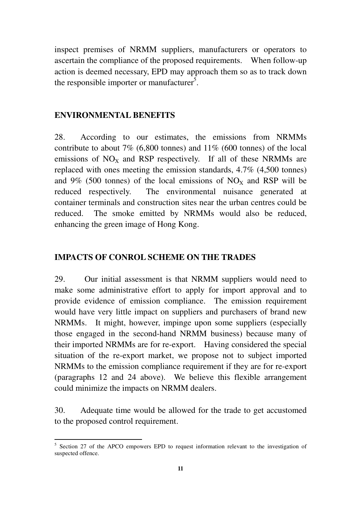inspect premises of NRMM suppliers, manufacturers or operators to ascertain the compliance of the proposed requirements. When follow-up action is deemed necessary, EPD may approach them so as to track down the responsible importer or manufacturer<sup>5</sup>.

### **ENVIRONMENTAL BENEFITS**

ׇ֬֒

28. According to our estimates, the emissions from NRMMs contribute to about 7% (6,800 tonnes) and 11% (600 tonnes) of the local emissions of  $NO<sub>x</sub>$  and RSP respectively. If all of these NRMMs are replaced with ones meeting the emission standards, 4.7% (4,500 tonnes) and 9% (500 tonnes) of the local emissions of  $NO<sub>x</sub>$  and RSP will be reduced respectively. The environmental nuisance generated at container terminals and construction sites near the urban centres could be reduced. The smoke emitted by NRMMs would also be reduced, enhancing the green image of Hong Kong.

### **IMPACTS OF CONROL SCHEME ON THE TRADES**

29. Our initial assessment is that NRMM suppliers would need to make some administrative effort to apply for import approval and to provide evidence of emission compliance. The emission requirement would have very little impact on suppliers and purchasers of brand new NRMMs. It might, however, impinge upon some suppliers (especially those engaged in the second-hand NRMM business) because many of their imported NRMMs are for re-export. Having considered the special situation of the re-export market, we propose not to subject imported NRMMs to the emission compliance requirement if they are for re-export (paragraphs 12 and 24 above). We believe this flexible arrangement could minimize the impacts on NRMM dealers.

30. Adequate time would be allowed for the trade to get accustomed to the proposed control requirement.

<sup>&</sup>lt;sup>5</sup> Section 27 of the APCO empowers EPD to request information relevant to the investigation of suspected offence.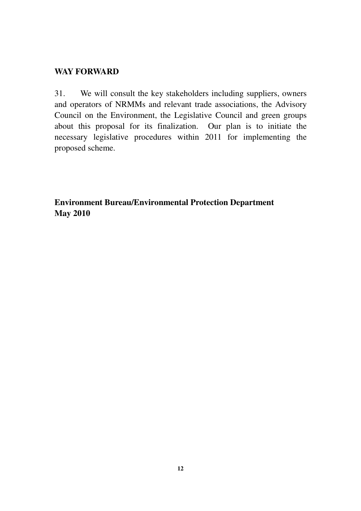## **WAY FORWARD**

31. We will consult the key stakeholders including suppliers, owners and operators of NRMMs and relevant trade associations, the Advisory Council on the Environment, the Legislative Council and green groups about this proposal for its finalization. Our plan is to initiate the necessary legislative procedures within 2011 for implementing the proposed scheme.

**Environment Bureau/Environmental Protection Department May 2010**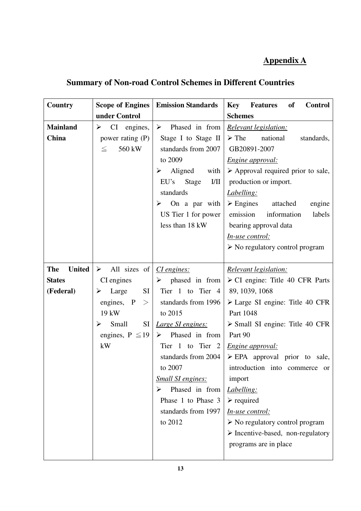# **Appendix A**

# **Summary of Non-road Control Schemes in Different Countries**

| Country                                                   | <b>Scope of Engines</b>                                                                                                                                                      | <b>Emission Standards</b>                                                                                                                                                                                                                                                                                                            | <b>Features</b><br><b>Key</b><br>of<br><b>Control</b>                                                                                                                                                                                                                                                                                                                                                                                                                                                                                                  |
|-----------------------------------------------------------|------------------------------------------------------------------------------------------------------------------------------------------------------------------------------|--------------------------------------------------------------------------------------------------------------------------------------------------------------------------------------------------------------------------------------------------------------------------------------------------------------------------------------|--------------------------------------------------------------------------------------------------------------------------------------------------------------------------------------------------------------------------------------------------------------------------------------------------------------------------------------------------------------------------------------------------------------------------------------------------------------------------------------------------------------------------------------------------------|
|                                                           | under Control                                                                                                                                                                |                                                                                                                                                                                                                                                                                                                                      | <b>Schemes</b>                                                                                                                                                                                                                                                                                                                                                                                                                                                                                                                                         |
| <b>Mainland</b><br>China                                  | CI engines,<br>➤<br>power rating $(P)$<br>560 kW<br>$\leq$                                                                                                                   | $\triangleright$ Phased in from<br>Stage I to Stage II<br>standards from 2007<br>to 2009<br>Aligned<br>with<br>➤<br>1/11<br>Stage<br>EU's<br>standards<br>$\triangleright$ On a par with<br>US Tier 1 for power<br>less than 18 kW                                                                                                   | <u>Relevant legislation:</u><br>$\triangleright$ The<br>national<br>standards,<br>GB20891-2007<br><i>Engine approval:</i><br>$\triangleright$ Approval required prior to sale,<br>production or import.<br>Labelling:<br>$\triangleright$ Engines<br>attached<br>engine<br>emission information<br>labels<br>bearing approval data<br><u>In-use control:</u><br>$\triangleright$ No regulatory control program                                                                                                                                         |
| <b>The</b><br><b>United</b><br><b>States</b><br>(Federal) | $\triangleright$ All sizes of<br>CI engines<br>SI<br>$\triangleright$ Large<br>engines, P<br>><br>19 kW<br>Small<br>SI<br>$\blacktriangleright$<br>engines, $P \le 19$<br>kW | <i>CI</i> engines:<br>$\triangleright$ phased in from<br>Tier 1 to Tier 4<br>standards from 1996<br>to 2015<br>Large SI engines:<br>$\triangleright$ Phased in from<br>Tier 1 to Tier 2<br>standards from 2004<br>to 2007<br><b>Small SI engines:</b><br>Phased in from<br>➤<br>Phase 1 to Phase 3<br>standards from 1997<br>to 2012 | <b>Relevant legislation:</b><br>$\triangleright$ CI engine: Title 40 CFR Parts<br>89, 1039, 1068<br>$\triangleright$ Large SI engine: Title 40 CFR<br>Part 1048<br>$\triangleright$ Small SI engine: Title 40 CFR<br>Part 90<br><i>Engine approval:</i><br>$\triangleright$ EPA approval prior to sale,<br>introduction into commerce or<br>import<br><i>Labelling:</i><br>$\triangleright$ required<br>In-use control:<br>$\triangleright$ No regulatory control program<br>$\triangleright$ Incentive-based, non-regulatory<br>programs are in place |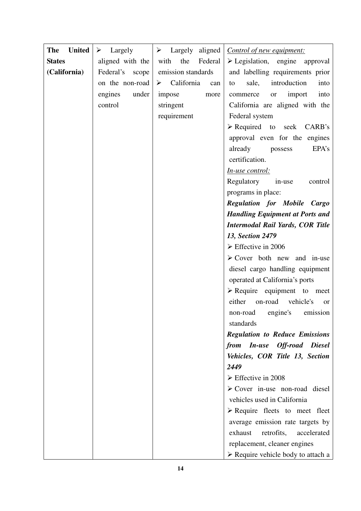| <b>United</b><br><b>The</b> | $\blacktriangleright$<br>Largely |                                    | $\triangleright$ Largely aligned   Control of new equipment: |
|-----------------------------|----------------------------------|------------------------------------|--------------------------------------------------------------|
| <b>States</b>               | aligned with the                 | the<br>Federal<br>with             | $\triangleright$ Legislation, engine approval                |
| (California)                | Federal's<br>scope               | emission standards                 | and labelling requirements prior                             |
|                             | on the non-road                  | $\triangleright$ California<br>can | sale,<br>introduction<br>into<br>to                          |
|                             | under<br>engines                 | impose<br>more                     | import<br>into<br>commerce<br>or                             |
|                             | control                          | stringent                          | California are aligned with the                              |
|                             |                                  | requirement                        | Federal system                                               |
|                             |                                  |                                    | $\triangleright$ Required to seek CARB's                     |
|                             |                                  |                                    | approval even for the engines                                |
|                             |                                  |                                    | already<br>EPA's<br>possess                                  |
|                             |                                  |                                    | certification.                                               |
|                             |                                  |                                    | <u>In-use control:</u>                                       |
|                             |                                  |                                    | Regulatory<br>in-use<br>control                              |
|                             |                                  |                                    | programs in place:                                           |
|                             |                                  |                                    | <b>Regulation for Mobile Cargo</b>                           |
|                             |                                  |                                    | <b>Handling Equipment at Ports and</b>                       |
|                             |                                  |                                    | <b>Intermodal Rail Yards, COR Title</b>                      |
|                             |                                  |                                    | 13, Section 2479                                             |
|                             |                                  |                                    | $\triangleright$ Effective in 2006                           |
|                             |                                  |                                    | $\triangleright$ Cover both new and in-use                   |
|                             |                                  |                                    | diesel cargo handling equipment                              |
|                             |                                  |                                    | operated at California's ports                               |
|                             |                                  |                                    | $\triangleright$ Require equipment to meet                   |
|                             |                                  |                                    | either<br>vehicle's<br>on-road<br><sub>or</sub>              |
|                             |                                  |                                    | engine's<br>emission<br>non-road                             |
|                             |                                  |                                    | standards                                                    |
|                             |                                  |                                    | <b>Regulation to Reduce Emissions</b>                        |
|                             |                                  |                                    | from In-use Off-road Diesel                                  |
|                             |                                  |                                    | Vehicles, COR Title 13, Section                              |
|                             |                                  |                                    | 2449                                                         |
|                             |                                  |                                    | $\triangleright$ Effective in 2008                           |
|                             |                                  |                                    | $\triangleright$ Cover in-use non-road diesel                |
|                             |                                  |                                    | vehicles used in California                                  |
|                             |                                  |                                    | $\triangleright$ Require fleets to meet fleet                |
|                             |                                  |                                    | average emission rate targets by                             |
|                             |                                  |                                    | exhaust<br>retrofits,<br>accelerated                         |
|                             |                                  |                                    | replacement, cleaner engines                                 |
|                             |                                  |                                    | $\triangleright$ Require vehicle body to attach a            |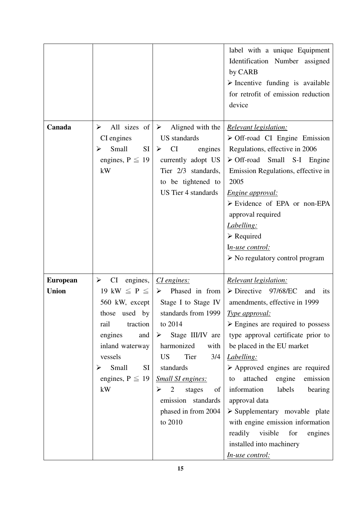|                                 |                                                                                                                                                                                                       |                                                                                                                                                                                                                                                                                                                                                                    | label with a unique Equipment<br>Identification Number assigned<br>by CARB<br>$\triangleright$ Incentive funding is available<br>for retrofit of emission reduction<br>device                                                                                                                                                                                                                                                                                                                                                                                                |
|---------------------------------|-------------------------------------------------------------------------------------------------------------------------------------------------------------------------------------------------------|--------------------------------------------------------------------------------------------------------------------------------------------------------------------------------------------------------------------------------------------------------------------------------------------------------------------------------------------------------------------|------------------------------------------------------------------------------------------------------------------------------------------------------------------------------------------------------------------------------------------------------------------------------------------------------------------------------------------------------------------------------------------------------------------------------------------------------------------------------------------------------------------------------------------------------------------------------|
| Canada                          | All sizes of<br>➤<br>CI engines<br>Small<br>SI<br>➤<br>engines, $P \leq 19$<br>kW                                                                                                                     | $\triangleright$ Aligned with the<br><b>US</b> standards<br><b>CI</b><br>engines<br>➤<br>currently adopt US<br>Tier 2/3 standards,<br>to be tightened to<br><b>US</b> Tier 4 standards                                                                                                                                                                             | Relevant legislation:<br>$\triangleright$ Off-road CI Engine Emission<br>Regulations, effective in 2006<br>$\triangleright$ Off-road Small S-I Engine<br>Emission Regulations, effective in<br>2005<br>Engine approval:<br>$\triangleright$ Evidence of EPA or non-EPA<br>approval required<br>Labelling:<br>$\triangleright$ Required<br>In-use control:<br>$\triangleright$ No regulatory control program                                                                                                                                                                  |
| <b>European</b><br><b>Union</b> | engines,<br>CI<br>➤<br>19 kW $\leq$ P $\leq$<br>560 kW, except<br>those used by<br>traction<br>rail<br>engines<br>and<br>inland waterway<br>vessels<br>Small<br>SI<br>➤<br>engines, $P \leq 19$<br>kW | CI engines:<br>Phased in from<br>$\triangleright$<br>Stage I to Stage IV<br>standards from 1999   Type approval:<br>to 2014<br>Stage III/IV are<br>$\blacktriangleright$<br>harmonized<br>with<br><b>US</b><br>Tier<br>3/4<br>standards<br><b>Small SI engines:</b><br>$\overline{2}$<br>stages<br>of<br>➤<br>emission standards<br>phased in from 2004<br>to 2010 | Relevant legislation:<br>$\triangleright$ Directive 97/68/EC<br>and<br>its<br>amendments, effective in 1999<br>$\triangleright$ Engines are required to possess<br>type approval certificate prior to<br>be placed in the EU market<br>Labelling:<br>$\triangleright$ Approved engines are required<br>attached engine<br>emission<br>to<br>information<br>labels<br>bearing<br>approval data<br>$\triangleright$ Supplementary movable plate<br>with engine emission information<br>readily visible<br>for<br>engines<br>installed into machinery<br><u>In-use control:</u> |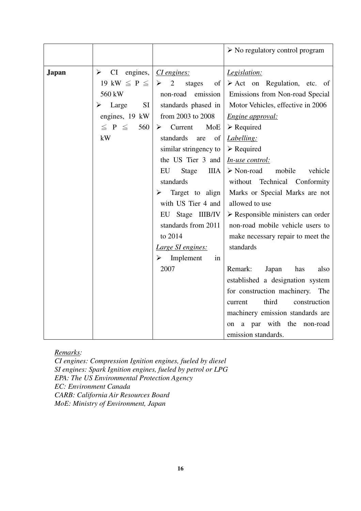|              |                                                                                                                                           |                                                                                                                                                                                                                                                                                                                                                                                                                                                   | $\triangleright$ No regulatory control program                                                                                                                                                                                                                                                                                                                                                                                                                                                                                                                                                            |
|--------------|-------------------------------------------------------------------------------------------------------------------------------------------|---------------------------------------------------------------------------------------------------------------------------------------------------------------------------------------------------------------------------------------------------------------------------------------------------------------------------------------------------------------------------------------------------------------------------------------------------|-----------------------------------------------------------------------------------------------------------------------------------------------------------------------------------------------------------------------------------------------------------------------------------------------------------------------------------------------------------------------------------------------------------------------------------------------------------------------------------------------------------------------------------------------------------------------------------------------------------|
| <b>Japan</b> | $CI$ engines,<br>➤<br>19 kW $\leq$ P $\leq$  <br>560 kW<br>SI<br>$\triangleright$ Large<br>engines, 19 kW<br>$\leq$ P $\leq$<br>560<br>kW | <i>CI</i> engines:<br>$\geq$ 2<br>stages<br>of<br>emission<br>non-road<br>standards phased in<br>from 2003 to 2008<br>$\triangleright$ Current<br>MoE <sup>1</sup><br>standards<br>of<br>are<br>similar stringency to<br>the US Tier 3 and<br>Stage<br>ШA<br>EU<br>standards<br>Target to align<br>➤<br>with US Tier 4 and<br>EU Stage IIIB/IV<br>standards from 2011<br>to 2014<br>Large SI engines:<br>$\triangleright$ Implement<br>in<br>2007 | Legislation:<br>$\triangleright$ Act on Regulation, etc. of<br>Emissions from Non-road Special<br>Motor Vehicles, effective in 2006<br>Engine approval:<br>$\triangleright$ Required<br>Labelling:<br>$\triangleright$ Required<br>In-use control:<br>$\triangleright$ Non-road<br>mobile<br>vehicle<br>without Technical Conformity<br>Marks or Special Marks are not<br>allowed to use<br>$\triangleright$ Responsible ministers can order<br>non-road mobile vehicle users to<br>make necessary repair to meet the<br>standards<br>Remark:<br>Japan<br>has<br>also<br>established a designation system |
|              |                                                                                                                                           |                                                                                                                                                                                                                                                                                                                                                                                                                                                   | for construction machinery. The                                                                                                                                                                                                                                                                                                                                                                                                                                                                                                                                                                           |
|              |                                                                                                                                           |                                                                                                                                                                                                                                                                                                                                                                                                                                                   | third<br>construction<br>current<br>machinery emission standards are                                                                                                                                                                                                                                                                                                                                                                                                                                                                                                                                      |
|              |                                                                                                                                           |                                                                                                                                                                                                                                                                                                                                                                                                                                                   | on a par with the non-road<br>emission standards.                                                                                                                                                                                                                                                                                                                                                                                                                                                                                                                                                         |

*Remarks:* 

*CI engines: Compression Ignition engines, fueled by diesel SI engines: Spark Ignition engines, fueled by petrol or LPG EPA: The US Environmental Protection Agency EC: Environment Canada CARB: California Air Resources Board MoE: Ministry of Environment, Japan*